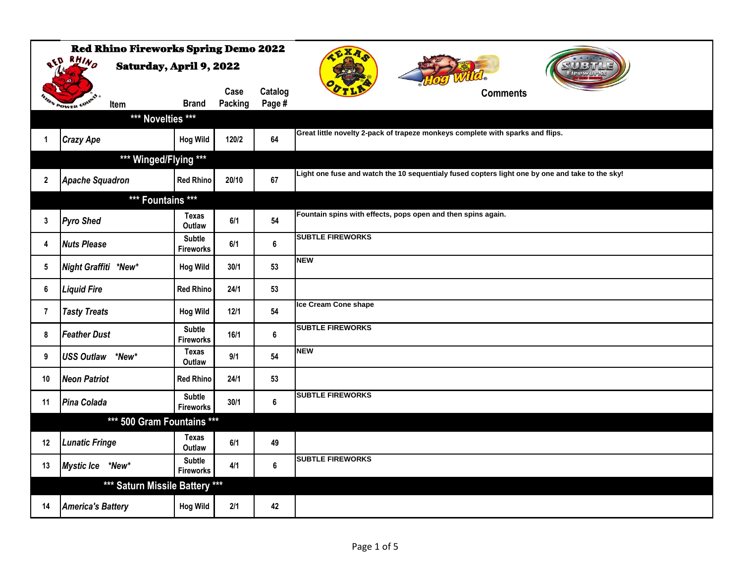|              | <b>Red Rhino Fireworks Spring Demo 2022</b> |                                   |                 |                   |                                                                                                 |
|--------------|---------------------------------------------|-----------------------------------|-----------------|-------------------|-------------------------------------------------------------------------------------------------|
|              | ath RHIND<br><b>Saturday, April 9, 2022</b> |                                   |                 |                   | 、リオトニ、カップ                                                                                       |
|              | V POWER COU<br>Item                         | <b>Brand</b>                      | Case<br>Packing | Catalog<br>Page # | <b>Comments</b>                                                                                 |
|              | *** Novelties ***                           |                                   |                 |                   |                                                                                                 |
| 1            | <b>Crazy Ape</b>                            | <b>Hog Wild</b>                   | 120/2           | 64                | Great little novelty 2-pack of trapeze monkeys complete with sparks and flips.                  |
|              | *** Winged/Flying ***                       |                                   |                 |                   |                                                                                                 |
| $\mathbf{2}$ | <b>Apache Squadron</b>                      | <b>Red Rhino</b>                  | 20/10           | 67                | Light one fuse and watch the 10 sequentialy fused copters light one by one and take to the sky! |
|              | *** Fountains ***                           |                                   |                 |                   |                                                                                                 |
| 3            | <b>Pyro Shed</b>                            | <b>Texas</b><br>Outlaw            | 6/1             | 54                | Fountain spins with effects, pops open and then spins again.                                    |
| 4            | <b>Nuts Please</b>                          | Subtle<br><b>Fireworks</b>        | 6/1             | $\bf 6$           | <b>SUBTLE FIREWORKS</b>                                                                         |
| 5            | Night Graffiti *New*                        | <b>Hog Wild</b>                   | 30/1            | 53                | <b>NEW</b>                                                                                      |
| 6            | <b>Liquid Fire</b>                          | <b>Red Rhino</b>                  | 24/1            | 53                |                                                                                                 |
| 7            | <b>Tasty Treats</b>                         | <b>Hog Wild</b>                   | 12/1            | 54                | Ice Cream Cone shape                                                                            |
| 8            | <b>Feather Dust</b>                         | <b>Subtle</b><br><b>Fireworks</b> | 16/1            | 6                 | <b>SUBTLE FIREWORKS</b>                                                                         |
| 9            | USS Outlaw *New*                            | <b>Texas</b><br>Outlaw            | 9/1             | 54                | <b>NEW</b>                                                                                      |
| 10           | <b>Neon Patriot</b>                         | <b>Red Rhino</b>                  | 24/1            | 53                |                                                                                                 |
| 11           | Pina Colada                                 | <b>Subtle</b><br><b>Fireworks</b> | 30/1            | $\bf 6$           | <b>SUBTLE FIREWORKS</b>                                                                         |
|              | *** 500 Gram Fountains ***                  |                                   |                 |                   |                                                                                                 |
| 12           | <b>Lunatic Fringe</b>                       | <b>Texas</b><br>Outlaw            | 6/1             | 49                |                                                                                                 |
| 13           | Mystic Ice *New*                            | <b>Subtle</b><br><b>Fireworks</b> | 4/1             | 6                 | <b>SUBTLE FIREWORKS</b>                                                                         |
|              | *** Saturn Missile Battery ***              |                                   |                 |                   |                                                                                                 |
| 14           | <b>America's Battery</b>                    | <b>Hog Wild</b>                   | 2/1             | 42                |                                                                                                 |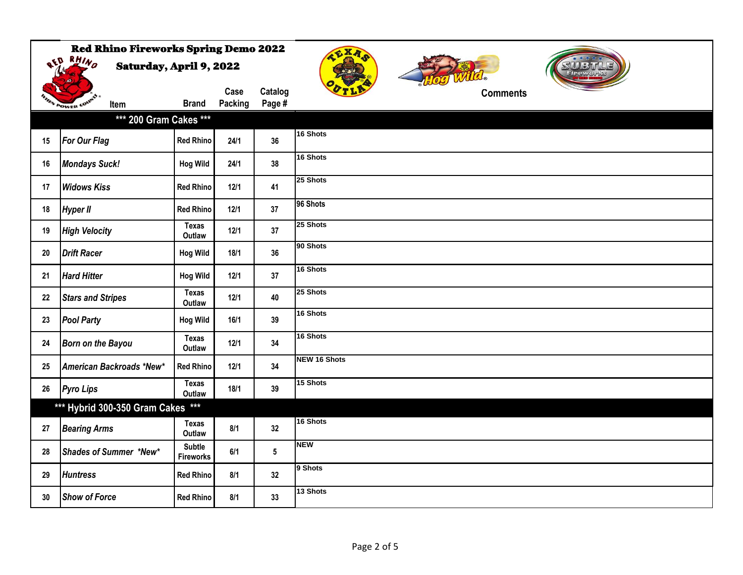|    | <b>Red Rhino Fireworks Spring Demo 2022</b><br><b>AED RHIND</b><br><b>Saturday, April 9, 2022</b> |                                   |                 |                   | CXA                 |  |
|----|---------------------------------------------------------------------------------------------------|-----------------------------------|-----------------|-------------------|---------------------|--|
|    | <b>EN POWER COU</b><br>Item                                                                       | <b>Brand</b>                      | Case<br>Packing | Catalog<br>Page # | <b>Comments</b>     |  |
|    | *** 200 Gram Cakes ***                                                                            |                                   |                 |                   |                     |  |
| 15 | <b>For Our Flag</b>                                                                               | <b>Red Rhino</b>                  | 24/1            | 36                | 16 Shots            |  |
| 16 | <b>Mondays Suck!</b>                                                                              | <b>Hog Wild</b>                   | 24/1            | 38                | 16 Shots            |  |
| 17 | <b>Widows Kiss</b>                                                                                | <b>Red Rhino</b>                  | 12/1            | 41                | 25 Shots            |  |
| 18 | <b>Hyper II</b>                                                                                   | <b>Red Rhino</b>                  | 12/1            | 37                | 96 Shots            |  |
| 19 | <b>High Velocity</b>                                                                              | <b>Texas</b><br>Outlaw            | 12/1            | 37                | 25 Shots            |  |
| 20 | <b>Drift Racer</b>                                                                                | <b>Hog Wild</b>                   | 18/1            | 36                | 90 Shots            |  |
| 21 | <b>Hard Hitter</b>                                                                                | <b>Hog Wild</b>                   | 12/1            | 37                | 16 Shots            |  |
| 22 | <b>Stars and Stripes</b>                                                                          | <b>Texas</b><br>Outlaw            | 12/1            | 40                | 25 Shots            |  |
| 23 | <b>Pool Party</b>                                                                                 | <b>Hog Wild</b>                   | 16/1            | 39                | 16 Shots            |  |
| 24 | <b>Born on the Bayou</b>                                                                          | <b>Texas</b><br>Outlaw            | $12/1$          | 34                | 16 Shots            |  |
| 25 | American Backroads *New*                                                                          | <b>Red Rhino</b>                  | 12/1            | 34                | <b>NEW 16 Shots</b> |  |
| 26 | <b>Pyro Lips</b>                                                                                  | Texas<br>Outlaw                   | 18/1            | 39                | 15 Shots            |  |
|    | *** Hybrid 300-350 Gram Cakes ***                                                                 |                                   |                 |                   |                     |  |
| 27 | <b>Bearing Arms</b>                                                                               | Texas<br>Outlaw                   | 8/1             | 32                | 16 Shots            |  |
| 28 | Shades of Summer *New*                                                                            | <b>Subtle</b><br><b>Fireworks</b> | 6/1             | $5\phantom{.0}$   | <b>NEW</b>          |  |
| 29 | <b>Huntress</b>                                                                                   | <b>Red Rhino</b>                  | 8/1             | 32                | 9 Shots             |  |
| 30 | <b>Show of Force</b>                                                                              | <b>Red Rhino</b>                  | 8/1             | 33                | 13 Shots            |  |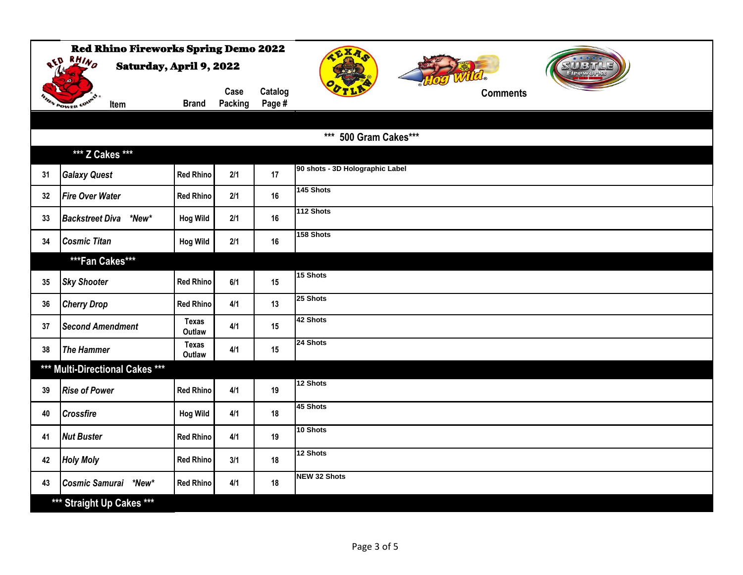|                                                    | <b>Red Rhino Fireworks Spring Demo 2022</b> |                        |                 |                   | CXA                             |  |  |  |
|----------------------------------------------------|---------------------------------------------|------------------------|-----------------|-------------------|---------------------------------|--|--|--|
| <b>RED RHIND</b><br><b>Saturday, April 9, 2022</b> |                                             |                        |                 |                   |                                 |  |  |  |
|                                                    | <b>N POWER CON</b><br>Item                  | <b>Brand</b>           | Case<br>Packing | Catalog<br>Page # | <b>Comments</b>                 |  |  |  |
|                                                    |                                             |                        |                 |                   |                                 |  |  |  |
|                                                    |                                             |                        |                 |                   | *** 500 Gram Cakes***           |  |  |  |
|                                                    | *** Z Cakes ***                             |                        |                 |                   |                                 |  |  |  |
| 31                                                 | <b>Galaxy Quest</b>                         | <b>Red Rhino</b>       | 2/1             | 17                | 90 shots - 3D Holographic Label |  |  |  |
| 32                                                 | <b>Fire Over Water</b>                      | <b>Red Rhino</b>       | 2/1             | 16                | 145 Shots                       |  |  |  |
| 33                                                 | Backstreet Diva *New*                       | <b>Hog Wild</b>        | 2/1             | 16                | 112 Shots                       |  |  |  |
| 34                                                 | <b>Cosmic Titan</b>                         | <b>Hog Wild</b>        | $2/1$           | 16                | 158 Shots                       |  |  |  |
|                                                    | ***Fan Cakes***                             |                        |                 |                   |                                 |  |  |  |
| 35                                                 | <b>Sky Shooter</b>                          | <b>Red Rhino</b>       | 6/1             | 15                | 15 Shots                        |  |  |  |
| 36                                                 | <b>Cherry Drop</b>                          | <b>Red Rhino</b>       | 4/1             | 13                | 25 Shots                        |  |  |  |
| 37                                                 | <b>Second Amendment</b>                     | <b>Texas</b><br>Outlaw | 4/1             | 15                | 42 Shots                        |  |  |  |
| 38                                                 | <b>The Hammer</b>                           | <b>Texas</b><br>Outlaw | 4/1             | 15                | 24 Shots                        |  |  |  |
|                                                    | *** Multi-Directional Cakes ***             |                        |                 |                   |                                 |  |  |  |
| 39                                                 | <b>Rise of Power</b>                        | <b>Red Rhino</b>       | 4/1             | 19                | 12 Shots                        |  |  |  |
| 40                                                 | <b>Crossfire</b>                            | <b>Hog Wild</b>        | 4/1             | 18                | 45 Shots                        |  |  |  |
| 41                                                 | <b>Nut Buster</b>                           | <b>Red Rhino</b>       | 4/1             | 19                | 10 Shots                        |  |  |  |
| 42                                                 | <b>Holy Moly</b>                            | <b>Red Rhino</b>       | 3/1             | 18                | 12 Shots                        |  |  |  |
| 43                                                 | Cosmic Samurai *New*                        | <b>Red Rhino</b>       | 4/1             | 18                | <b>NEW 32 Shots</b>             |  |  |  |
|                                                    | *** Straight Up Cakes ***                   |                        |                 |                   |                                 |  |  |  |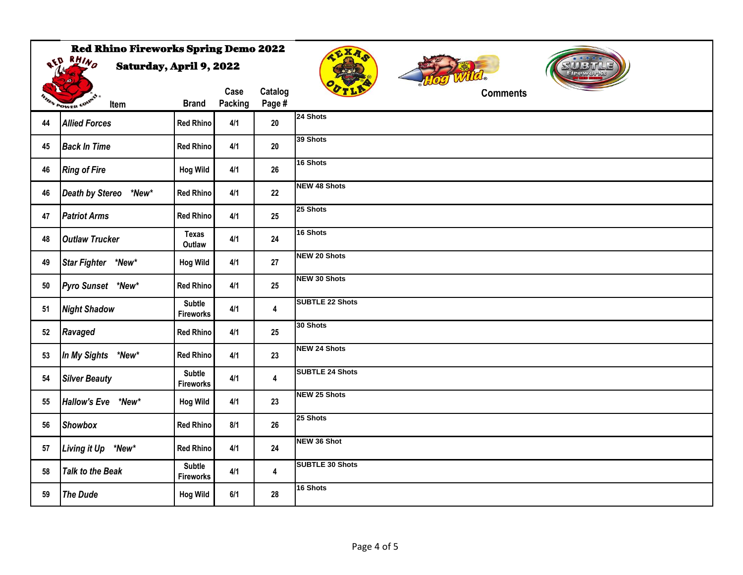|                  | <b>Red Rhino Fireworks Spring Demo 2022</b><br><b>AED RHIND</b><br><b>Saturday, April 9, 2022</b> |                                   |                 |                         | $\epsilon$ XA<br>SUU BITTL |
|------------------|---------------------------------------------------------------------------------------------------|-----------------------------------|-----------------|-------------------------|----------------------------|
|                  | FIN POWER COUP<br>Item                                                                            | <b>Brand</b>                      | Case<br>Packing | Catalog<br>Page #       | <b>Comments</b>            |
| 44               | <b>Allied Forces</b>                                                                              | <b>Red Rhino</b>                  | 4/1             | $20\,$                  | 24 Shots                   |
| 45               | <b>Back In Time</b>                                                                               | <b>Red Rhino</b>                  | 4/1             | $20\,$                  | 39 Shots                   |
| 46               | <b>Ring of Fire</b>                                                                               | <b>Hog Wild</b>                   | 4/1             | 26                      | 16 Shots                   |
| 46               | Death by Stereo *New*                                                                             | <b>Red Rhino</b>                  | 4/1             | 22                      | <b>NEW 48 Shots</b>        |
| 47               | <b>Patriot Arms</b>                                                                               | <b>Red Rhino</b>                  | 4/1             | 25                      | 25 Shots                   |
| 48               | <b>Outlaw Trucker</b>                                                                             | Texas<br>Outlaw                   | 4/1             | 24                      | 16 Shots                   |
| 49               | Star Fighter *New*                                                                                | <b>Hog Wild</b>                   | 4/1             | 27                      | <b>NEW 20 Shots</b>        |
| $50\,$           | Pyro Sunset *New*                                                                                 | <b>Red Rhino</b>                  | 4/1             | 25                      | <b>NEW 30 Shots</b>        |
| 51               | <b>Night Shadow</b>                                                                               | <b>Subtle</b><br><b>Fireworks</b> | 4/1             | $\overline{\mathbf{4}}$ | <b>SUBTLE 22 Shots</b>     |
| $52\phantom{.0}$ | Ravaged                                                                                           | <b>Red Rhino</b>                  | 4/1             | 25                      | 30 Shots                   |
| 53               | In My Sights *New*                                                                                | <b>Red Rhino</b>                  | 4/1             | 23                      | <b>NEW 24 Shots</b>        |
| 54               | <b>Silver Beauty</b>                                                                              | <b>Subtle</b><br><b>Fireworks</b> | 4/1             | $\overline{\mathbf{4}}$ | <b>SUBTLE 24 Shots</b>     |
| 55               | Hallow's Eve *New*                                                                                | <b>Hog Wild</b>                   | 4/1             | 23                      | <b>NEW 25 Shots</b>        |
| 56               | <b>Showbox</b>                                                                                    | <b>Red Rhino</b>                  | 8/1             | 26                      | 25 Shots                   |
| 57               | Living it Up *New*                                                                                | <b>Red Rhino</b>                  | 4/1             | 24                      | NEW 36 Shot                |
| 58               | <b>Talk to the Beak</b>                                                                           | <b>Subtle</b><br><b>Fireworks</b> | 4/1             | 4                       | <b>SUBTLE 30 Shots</b>     |
| 59               | <b>The Dude</b>                                                                                   | <b>Hog Wild</b>                   | 6/1             | 28                      | 16 Shots                   |